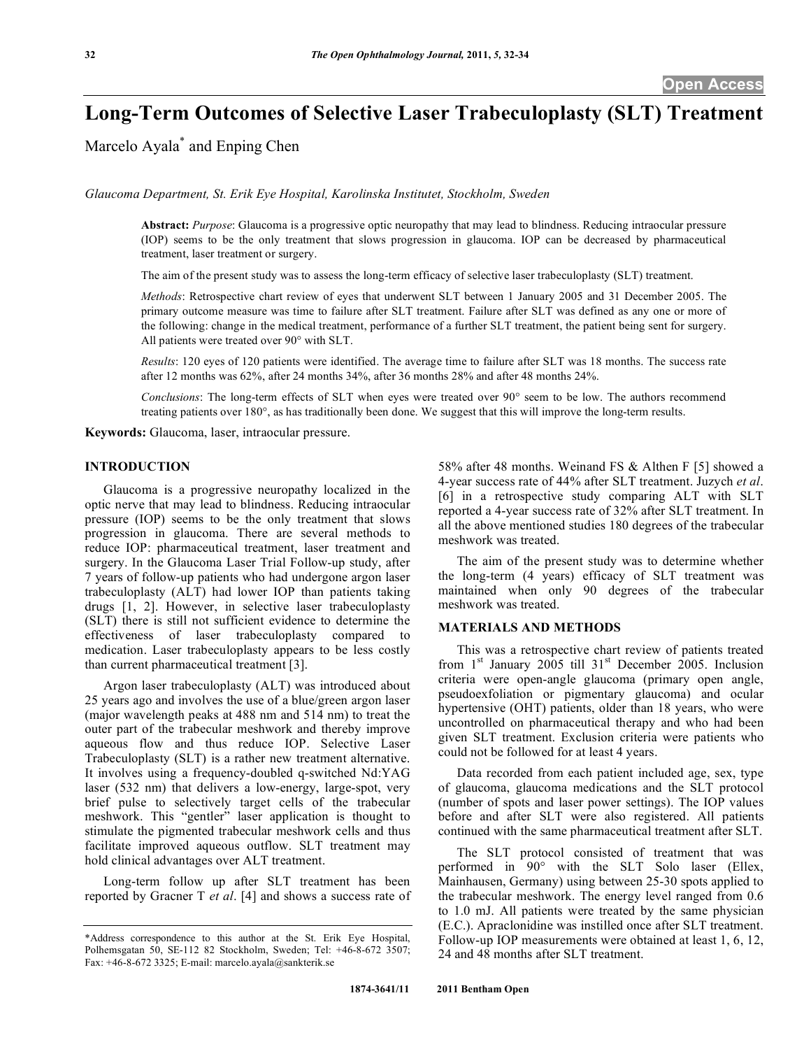# **Long-Term Outcomes of Selective Laser Trabeculoplasty (SLT) Treatment**

Marcelo Ayala<sup>\*</sup> and Enping Chen

*Glaucoma Department, St. Erik Eye Hospital, Karolinska Institutet, Stockholm, Sweden* 

**Abstract:** *Purpose*: Glaucoma is a progressive optic neuropathy that may lead to blindness. Reducing intraocular pressure (IOP) seems to be the only treatment that slows progression in glaucoma. IOP can be decreased by pharmaceutical treatment, laser treatment or surgery.

The aim of the present study was to assess the long-term efficacy of selective laser trabeculoplasty (SLT) treatment.

*Methods*: Retrospective chart review of eyes that underwent SLT between 1 January 2005 and 31 December 2005. The primary outcome measure was time to failure after SLT treatment. Failure after SLT was defined as any one or more of the following: change in the medical treatment, performance of a further SLT treatment, the patient being sent for surgery. All patients were treated over 90° with SLT.

*Results*: 120 eyes of 120 patients were identified. The average time to failure after SLT was 18 months. The success rate after 12 months was 62%, after 24 months 34%, after 36 months 28% and after 48 months 24%.

*Conclusions*: The long-term effects of SLT when eyes were treated over 90° seem to be low. The authors recommend treating patients over 180°, as has traditionally been done. We suggest that this will improve the long-term results.

**Keywords:** Glaucoma, laser, intraocular pressure.

# **INTRODUCTION**

 Glaucoma is a progressive neuropathy localized in the optic nerve that may lead to blindness. Reducing intraocular pressure (IOP) seems to be the only treatment that slows progression in glaucoma. There are several methods to reduce IOP: pharmaceutical treatment, laser treatment and surgery. In the Glaucoma Laser Trial Follow-up study, after 7 years of follow-up patients who had undergone argon laser trabeculoplasty (ALT) had lower IOP than patients taking drugs [1, 2]. However, in selective laser trabeculoplasty (SLT) there is still not sufficient evidence to determine the effectiveness of laser trabeculoplasty compared to medication. Laser trabeculoplasty appears to be less costly than current pharmaceutical treatment [3].

 Argon laser trabeculoplasty (ALT) was introduced about 25 years ago and involves the use of a blue/green argon laser (major wavelength peaks at 488 nm and 514 nm) to treat the outer part of the trabecular meshwork and thereby improve aqueous flow and thus reduce IOP. Selective Laser Trabeculoplasty (SLT) is a rather new treatment alternative. It involves using a frequency-doubled q-switched Nd:YAG laser (532 nm) that delivers a low-energy, large-spot, very brief pulse to selectively target cells of the trabecular meshwork. This "gentler" laser application is thought to stimulate the pigmented trabecular meshwork cells and thus facilitate improved aqueous outflow. SLT treatment may hold clinical advantages over ALT treatment.

 Long-term follow up after SLT treatment has been reported by Gracner T *et al*. [4] and shows a success rate of 58% after 48 months. Weinand FS & Althen F [5] showed a 4-year success rate of 44% after SLT treatment. Juzych *et al*. [6] in a retrospective study comparing ALT with SLT reported a 4-year success rate of 32% after SLT treatment. In all the above mentioned studies 180 degrees of the trabecular meshwork was treated.

 The aim of the present study was to determine whether the long-term (4 years) efficacy of SLT treatment was maintained when only 90 degrees of the trabecular meshwork was treated.

### **MATERIALS AND METHODS**

 This was a retrospective chart review of patients treated from  $1<sup>st</sup>$  January 2005 till  $31<sup>st</sup>$  December 2005. Inclusion criteria were open-angle glaucoma (primary open angle, pseudoexfoliation or pigmentary glaucoma) and ocular hypertensive (OHT) patients, older than 18 years, who were uncontrolled on pharmaceutical therapy and who had been given SLT treatment. Exclusion criteria were patients who could not be followed for at least 4 years.

 Data recorded from each patient included age, sex, type of glaucoma, glaucoma medications and the SLT protocol (number of spots and laser power settings). The IOP values before and after SLT were also registered. All patients continued with the same pharmaceutical treatment after SLT.

 The SLT protocol consisted of treatment that was performed in 90° with the SLT Solo laser (Ellex, Mainhausen, Germany) using between 25-30 spots applied to the trabecular meshwork. The energy level ranged from 0.6 to 1.0 mJ. All patients were treated by the same physician (E.C.). Apraclonidine was instilled once after SLT treatment. Follow-up IOP measurements were obtained at least 1, 6, 12, 24 and 48 months after SLT treatment.

<sup>\*</sup>Address correspondence to this author at the St. Erik Eye Hospital, Polhemsgatan 50, SE-112 82 Stockholm, Sweden; Tel: +46-8-672 3507; Fax: +46-8-672 3325; E-mail: marcelo.ayala@sankterik.se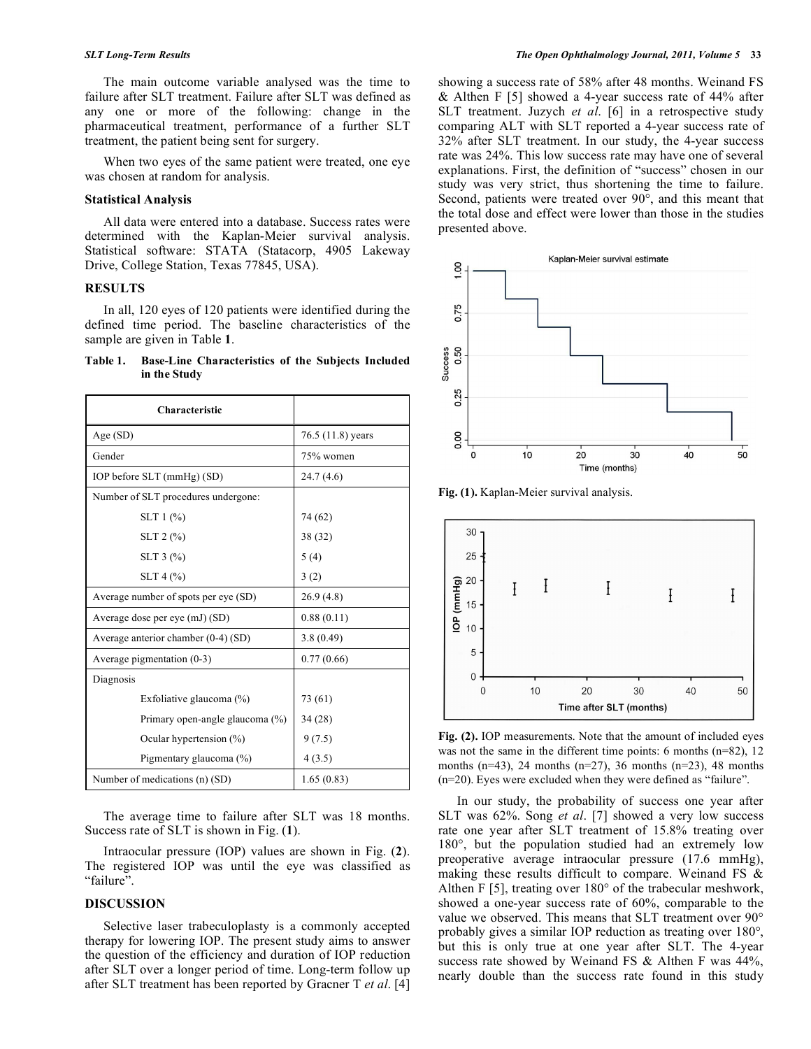The main outcome variable analysed was the time to failure after SLT treatment. Failure after SLT was defined as any one or more of the following: change in the pharmaceutical treatment, performance of a further SLT treatment, the patient being sent for surgery.

When two eyes of the same patient were treated, one eye was chosen at random for analysis.

#### **Statistical Analysis**

 All data were entered into a database. Success rates were determined with the Kaplan-Meier survival analysis. Statistical software: STATA (Statacorp, 4905 Lakeway Drive, College Station, Texas 77845, USA).

#### **RESULTS**

 In all, 120 eyes of 120 patients were identified during the defined time period. The baseline characteristics of the sample are given in Table **1**.

**Table 1. Base-Line Characteristics of the Subjects Included in the Study** 

| <b>Characteristic</b>                 |                   |
|---------------------------------------|-------------------|
| Age (SD)                              | 76.5 (11.8) years |
| Gender                                | 75% women         |
| IOP before SLT (mmHg) (SD)            | 24.7 (4.6)        |
| Number of SLT procedures undergone:   |                   |
| $SLT 1$ (%)                           | 74 (62)           |
| $SLT 2$ (%)                           | 38 (32)           |
| $SLT$ 3 $(\% )$                       | 5(4)              |
| $SLT 4$ (%)                           | 3(2)              |
| Average number of spots per eye (SD)  | 26.9(4.8)         |
| Average dose per eye (mJ) (SD)        | 0.88(0.11)        |
| Average anterior chamber $(0-4)$ (SD) | 3.8(0.49)         |
| Average pigmentation $(0-3)$          | 0.77(0.66)        |
| Diagnosis                             |                   |
| Exfoliative glaucoma $(\%)$           | 73 (61)           |
| Primary open-angle glaucoma (%)       | 34 (28)           |
| Ocular hypertension (%)               | 9(7.5)            |
| Pigmentary glaucoma (%)               | 4(3.5)            |
| Number of medications (n) (SD)        | 1.65(0.83)        |

 The average time to failure after SLT was 18 months. Success rate of SLT is shown in Fig. (**1**).

 Intraocular pressure (IOP) values are shown in Fig. (**2**). The registered IOP was until the eye was classified as "failure".

## **DISCUSSION**

 Selective laser trabeculoplasty is a commonly accepted therapy for lowering IOP. The present study aims to answer the question of the efficiency and duration of IOP reduction after SLT over a longer period of time. Long-term follow up after SLT treatment has been reported by Gracner T *et al*. [4]

showing a success rate of 58% after 48 months. Weinand FS & Althen F [5] showed a 4-year success rate of 44% after SLT treatment. Juzych *et al*. [6] in a retrospective study comparing ALT with SLT reported a 4-year success rate of 32% after SLT treatment. In our study, the 4-year success rate was 24%. This low success rate may have one of several explanations. First, the definition of "success" chosen in our study was very strict, thus shortening the time to failure. Second, patients were treated over 90°, and this meant that the total dose and effect were lower than those in the studies presented above.



**Fig. (1).** Kaplan-Meier survival analysis.



**Fig. (2).** IOP measurements. Note that the amount of included eyes was not the same in the different time points: 6 months (n=82), 12 months  $(n=43)$ , 24 months  $(n=27)$ , 36 months  $(n=23)$ , 48 months (n=20). Eyes were excluded when they were defined as "failure".

 In our study, the probability of success one year after SLT was 62%. Song *et al*. [7] showed a very low success rate one year after SLT treatment of 15.8% treating over 180°, but the population studied had an extremely low preoperative average intraocular pressure (17.6 mmHg), making these results difficult to compare. Weinand FS & Althen F [5], treating over 180° of the trabecular meshwork, showed a one-year success rate of 60%, comparable to the value we observed. This means that SLT treatment over 90° probably gives a similar IOP reduction as treating over 180°, but this is only true at one year after SLT. The 4-year success rate showed by Weinand FS & Althen F was 44%, nearly double than the success rate found in this study